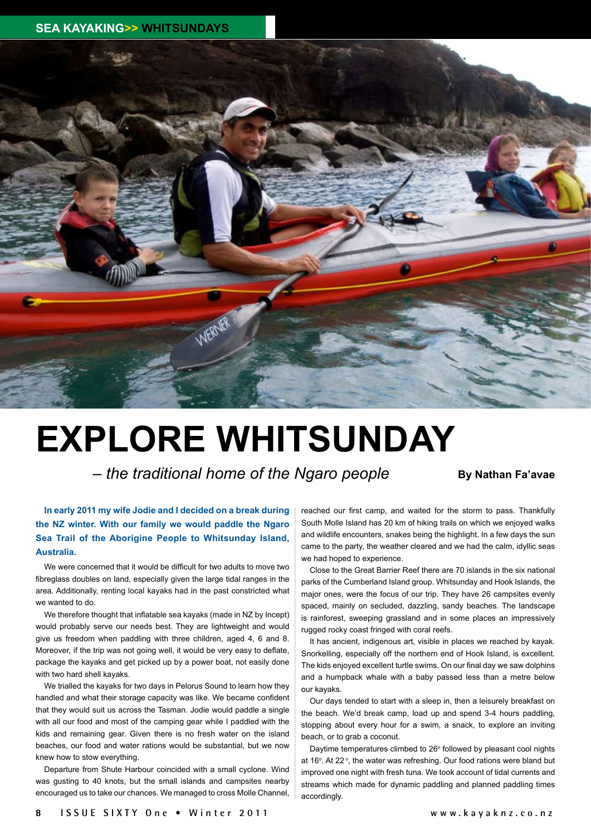

## **EXPLORE WHITSUNDAY**

 $-$  *the traditional home of the Ngaro people* **By Nathan Fa'avae** 

## **In early 2011 my wife Jodie and I decided on a break during the NZ winter. With our family we would paddle the Ngaro Sea Trail of the Aborigine People to Whitsunday Island, Australia.**

We were concerned that it would be difficult for two adults to move two fibreglass doubles on land, especially given the large tidal ranges in the area. Additionally, renting local kayaks had in the past constricted what we wanted to do.

We therefore thought that inflatable sea kayaks (made in NZ by Incept) would probably serve our needs best. They are lightweight and would give us freedom when paddling with three children, aged 4, 6 and 8. Moreover, if the trip was not going well, it would be very easy to deflate, package the kayaks and get picked up by a power boat, not easily done with two hard shell kayaks.

We trialled the kayaks for two days in Pelorus Sound to learn how they handled and what their storage capacity was like. We became confident that they would suit us across the Tasman. Jodie would paddle a single with all our food and most of the camping gear while I paddled with the kids and remaining gear. Given there is no fresh water on the island beaches, our food and water rations would be substantial, but we now knew how to stow everything.

Departure from Shute Harbour coincided with a small cyclone. Wind was gusting to 40 knots, but the small islands and campsites nearby encouraged us to take our chances. We managed to cross Molle Channel, reached our first camp, and waited for the storm to pass. Thankfully South Molle Island has 20 km of hiking trails on which we enjoyed walks and wildlife encounters, snakes being the highlight. In a few days the sun came to the party, the weather cleared and we had the calm, idyllic seas we had hoped to experience.

Close to the Great Barrier Reef there are 70 islands in the six national parks of the Cumberland Island group. Whitsunday and Hook Islands, the major ones, were the focus of our trip. They have 26 campsites evenly spaced, mainly on secluded, dazzling, sandy beaches. The landscape is rainforest, sweeping grassland and in some places an impressively rugged rocky coast fringed with coral reefs.

It has ancient, indigenous art, visible in places we reached by kayak. Snorkelling, especially off the northern end of Hook Island, is excellent. The kids enjoyed excellent turtle swims. On our final day we saw dolphins and a humpback whale with a baby passed less than a metre below our kayaks.

Our days tended to start with a sleep in, then a leisurely breakfast on the beach. We'd break camp, load up and spend 3-4 hours paddling, stopping about every hour for a swim, a snack, to explore an inviting beach, or to grab a coconut.

Daytime temperatures climbed to  $26^{\circ}$  followed by pleasant cool nights at 16°. At 22°, the water was refreshing. Our food rations were bland but improved one night with fresh tuna. We took account of tidal currents and streams which made for dynamic paddling and planned paddling times accordingly.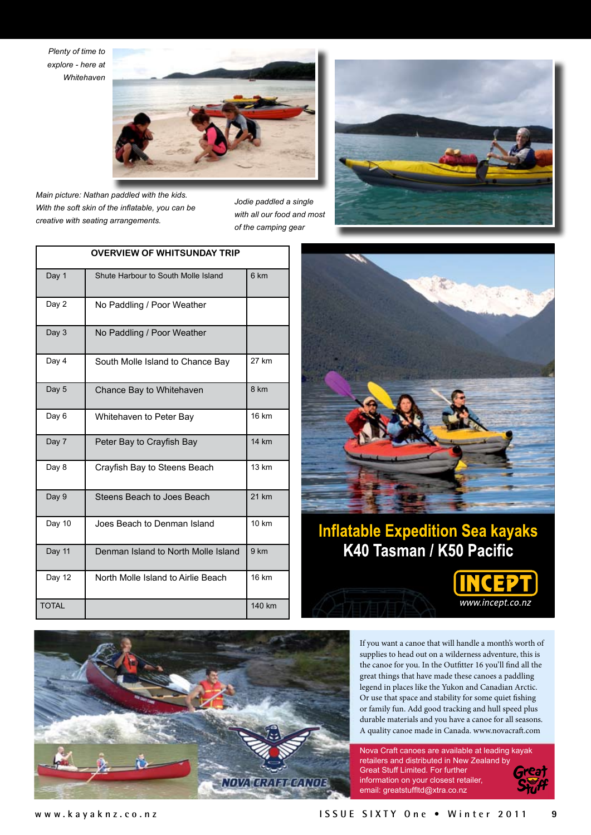*Plenty of time to explore - here at Whitehaven*



*Main picture: Nathan paddled with the kids. With the soft skin of the inflatable, you can be creative with seating arrangements.*

*Jodie paddled a single with all our food and most of the camping gear*





## **Inflatable Expedition Sea kayaks** K40 Tasman / K50 Pacific



If you want a canoe that will handle a month's worth of supplies to head out on a wilderness adventure, this is the canoe for you. In the Outfitter 16 you'll find all the great things that have made these canoes a paddling legend in places like the Yukon and Canadian Arctic. Or use that space and stability for some quiet fishing or family fun. Add good tracking and hull speed plus durable materials and you have a canoe for all seasons. A quality canoe made in Canada. www.novacraft.com

www.incept.co.nz

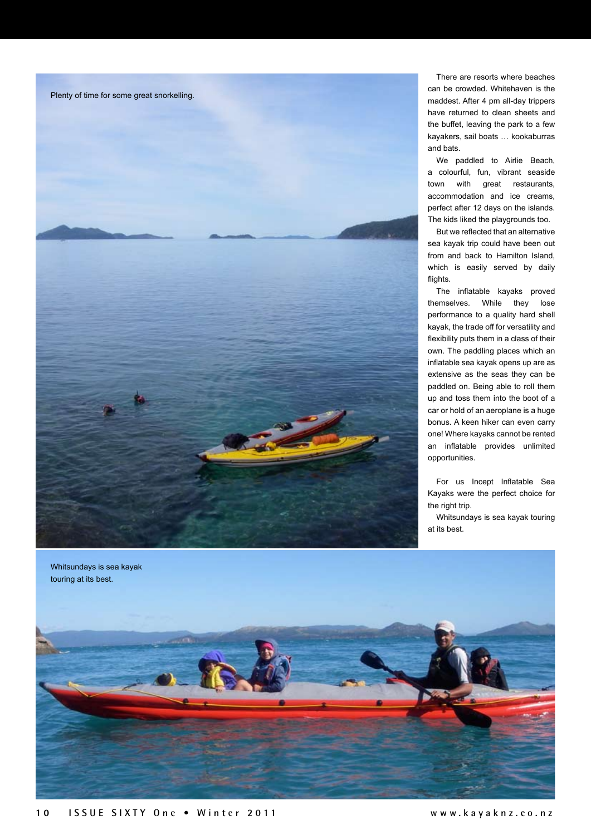

There are resorts where beaches can be crowded. Whitehaven is the maddest. After 4 pm all-day trippers have returned to clean sheets and the buffet, leaving the park to a few kayakers, sail boats … kookaburras and bats.

We paddled to Airlie Beach, a colourful, fun, vibrant seaside town with great restaurants, accommodation and ice creams, perfect after 12 days on the islands. The kids liked the playgrounds too.

But we reflected that an alternative sea kayak trip could have been out from and back to Hamilton Island, which is easily served by daily flights

The inflatable kayaks proved themselves. While they lose performance to a quality hard shell kayak, the trade off for versatility and flexibility puts them in a class of their own. The paddling places which an inflatable sea kayak opens up are as extensive as the seas they can be paddled on. Being able to roll them up and toss them into the boot of a car or hold of an aeroplane is a huge bonus. A keen hiker can even carry one! Where kayaks cannot be rented an inflatable provides unlimited opportunities.

For us Incept Inflatable Sea Kayaks were the perfect choice for the right trip.

Whitsundays is sea kayak touring at its best.